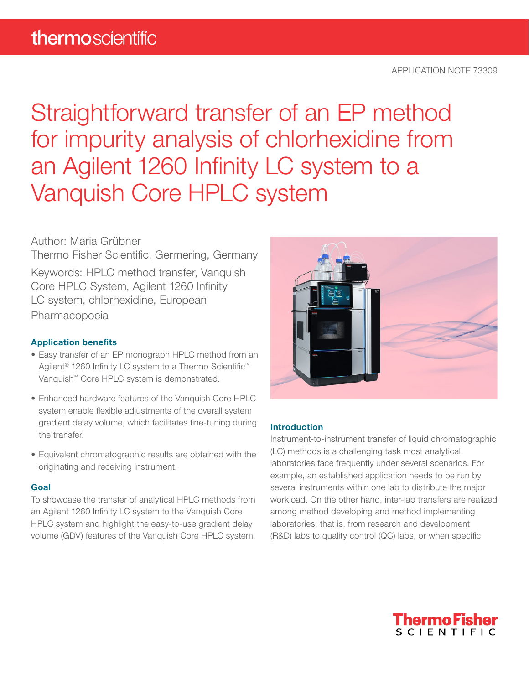Straightforward transfer of an EP method for impurity analysis of chlorhexidine from an Agilent 1260 Infinity LC system to a Vanquish Core HPLC system

# Author: Maria Grübner

Thermo Fisher Scientific, Germering, Germany

Keywords: HPLC method transfer, Vanquish Core HPLC System, Agilent 1260 Infinity LC system, chlorhexidine, European Pharmacopoeia

### Application benefits

- Easy transfer of an EP monograph HPLC method from an Agilent<sup>®</sup> 1260 Infinity LC system to a Thermo Scientific<sup>™</sup> Vanquish™ Core HPLC system is demonstrated.
- Enhanced hardware features of the Vanquish Core HPLC system enable flexible adjustments of the overall system gradient delay volume, which facilitates fine-tuning during the transfer.
- Equivalent chromatographic results are obtained with the originating and receiving instrument.

#### Goal

To showcase the transfer of analytical HPLC methods from an Agilent 1260 Infinity LC system to the Vanquish Core HPLC system and highlight the easy-to-use gradient delay volume (GDV) features of the Vanquish Core HPLC system.



#### **Introduction**

Instrument-to-instrument transfer of liquid chromatographic (LC) methods is a challenging task most analytical laboratories face frequently under several scenarios. For example, an established application needs to be run by several instruments within one lab to distribute the major workload. On the other hand, inter-lab transfers are realized among method developing and method implementing laboratories, that is, from research and development (R&D) labs to quality control (QC) labs, or when specific

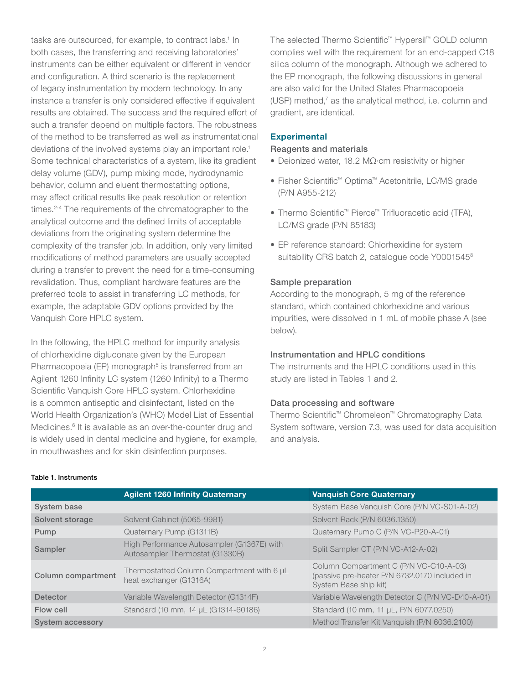tasks are outsourced, for example, to contract labs.<sup>1</sup> In both cases, the transferring and receiving laboratories' instruments can be either equivalent or different in vendor and configuration. A third scenario is the replacement of legacy instrumentation by modern technology. In any instance a transfer is only considered effective if equivalent results are obtained. The success and the required effort of such a transfer depend on multiple factors. The robustness of the method to be transferred as well as instrumentational deviations of the involved systems play an important role.<sup>1</sup> Some technical characteristics of a system, like its gradient delay volume (GDV), pump mixing mode, hydrodynamic behavior, column and eluent thermostatting options, may affect critical results like peak resolution or retention times.<sup>2-4</sup> The requirements of the chromatographer to the analytical outcome and the defined limits of acceptable deviations from the originating system determine the complexity of the transfer job. In addition, only very limited modifications of method parameters are usually accepted during a transfer to prevent the need for a time-consuming revalidation. Thus, compliant hardware features are the preferred tools to assist in transferring LC methods, for example, the adaptable GDV options provided by the Vanquish Core HPLC system.

In the following, the HPLC method for impurity analysis of chlorhexidine digluconate given by the European Pharmacopoeia (EP) monograph<sup>5</sup> is transferred from an Agilent 1260 Infinity LC system (1260 Infinity) to a Thermo Scientific Vanquish Core HPLC system. Chlorhexidine is a common antiseptic and disinfectant, listed on the World Health Organization's (WHO) Model List of Essential Medicines.<sup>6</sup> It is available as an over-the-counter drug and is widely used in dental medicine and hygiene, for example, in mouthwashes and for skin disinfection purposes.

The selected Thermo Scientific™ Hypersil™ GOLD column complies well with the requirement for an end-capped C18 silica column of the monograph. Although we adhered to the EP monograph, the following discussions in general are also valid for the United States Pharmacopoeia (USP) method,<sup>7</sup> as the analytical method, i.e. column and gradient, are identical.

#### **Experimental**

#### Reagents and materials

- Deionized water, 18.2 MΩ·cm resistivity or higher
- Fisher Scientific™ Optima™ Acetonitrile, LC/MS grade (P/N A955-212)
- Thermo Scientific™ Pierce™ Trifluoracetic acid (TFA), LC/MS grade (P/N 85183)
- EP reference standard: Chlorhexidine for system suitability CRS batch 2, catalogue code Y0001545<sup>8</sup>

#### Sample preparation

According to the monograph, 5 mg of the reference standard, which contained chlorhexidine and various impurities, were dissolved in 1 mL of mobile phase A (see below).

#### Instrumentation and HPLC conditions

The instruments and the HPLC conditions used in this study are listed in Tables 1 and 2.

#### Data processing and software

Thermo Scientific™ Chromeleon™ Chromatography Data System software, version 7.3, was used for data acquisition and analysis.

|                         | <b>Agilent 1260 Infinity Quaternary</b>                                       | <b>Vanquish Core Quaternary</b>                                                                                  |
|-------------------------|-------------------------------------------------------------------------------|------------------------------------------------------------------------------------------------------------------|
| System base             |                                                                               | System Base Vanquish Core (P/N VC-S01-A-02)                                                                      |
| Solvent storage         | Solvent Cabinet (5065-9981)                                                   | Solvent Rack (P/N 6036.1350)                                                                                     |
| Pump                    | Quaternary Pump (G1311B)                                                      | Quaternary Pump C (P/N VC-P20-A-01)                                                                              |
| Sampler                 | High Performance Autosampler (G1367E) with<br>Autosampler Thermostat (G1330B) | Split Sampler CT (P/N VC-A12-A-02)                                                                               |
| Column compartment      | Thermostatted Column Compartment with 6 µL<br>heat exchanger (G1316A)         | Column Compartment C (P/N VC-C10-A-03)<br>(passive pre-heater P/N 6732.0170 included in<br>System Base ship kit) |
| <b>Detector</b>         | Variable Wavelength Detector (G1314F)                                         | Variable Wavelength Detector C (P/N VC-D40-A-01)                                                                 |
| Flow cell               | Standard (10 mm, 14 µL (G1314-60186)                                          | Standard (10 mm, 11 µL, P/N 6077.0250)                                                                           |
| <b>System accessory</b> |                                                                               | Method Transfer Kit Vanquish (P/N 6036.2100)                                                                     |

#### Table 1. Instruments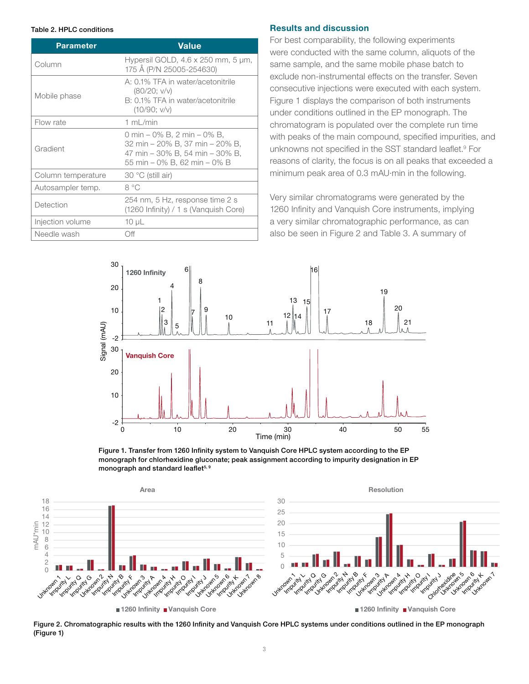| <b>Parameter</b>   | <b>Value</b>                                                                                                                      |  |
|--------------------|-----------------------------------------------------------------------------------------------------------------------------------|--|
| Column             | Hypersil GOLD, $4.6 \times 250$ mm, $5 \mu m$ ,<br>175 Å (P/N 25005-254630)                                                       |  |
| Mobile phase       | A: 0.1% TFA in water/acetonitrile<br>(80/20; v/v)<br>B: 0.1% TFA in water/acetonitrile<br>(10/90; v/v)                            |  |
| Flow rate          | 1 $mL/min$                                                                                                                        |  |
| Gradient           | 0 min – 0% B, 2 min – 0% B,<br>32 min – 20% B, 37 min – 20% B,<br>47 min – 30% B, 54 min – 30% B,<br>55 min – 0% B. 62 min – 0% B |  |
| Column temperature | 30 °C (still air)                                                                                                                 |  |
| Autosampler temp.  | 8 °C                                                                                                                              |  |
| Detection          | 254 nm, 5 Hz, response time 2 s<br>$(1260 \text{ Infinity}) / 1 \text{ s}$ (Vanquish Core)                                        |  |
| Injection volume   | $10 \mu L$                                                                                                                        |  |
| Needle wash        | Off                                                                                                                               |  |

#### Table 2. HPLC conditions **Results and discussion**

For best comparability, the following experiments were conducted with the same column, aliquots of the same sample, and the same mobile phase batch to exclude non-instrumental effects on the transfer. Seven consecutive injections were executed with each system. Figure 1 displays the comparison of both instruments under conditions outlined in the EP monograph. The chromatogram is populated over the complete run time with peaks of the main compound, specified impurities, and unknowns not specified in the SST standard leaflet.<sup>9</sup> For reasons of clarity, the focus is on all peaks that exceeded a minimum peak area of 0.3 mAU·min in the following.

Very similar chromatograms were generated by the 1260 Infinity and Vanquish Core instruments, implying a very similar chromatographic performance, as can also be seen in Figure 2 and Table 3. A summary of



Figure 1. Transfer from 1260 Infinity system to Vanquish Core HPLC system according to the EP monograph for chlorhexidine gluconate; peak assignment according to impurity designation in EP monograph and standard leaflet<sup>5, 9</sup>



Figure 2. Chromatographic results with the 1260 Infinity and Vanquish Core HPLC systems under conditions outlined in the EP monograph (Figure 1)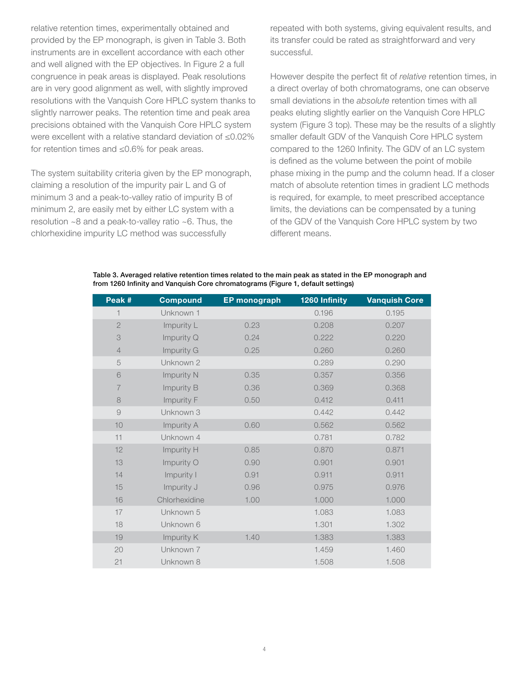relative retention times, experimentally obtained and provided by the EP monograph, is given in Table 3. Both instruments are in excellent accordance with each other and well aligned with the EP objectives. In Figure 2 a full congruence in peak areas is displayed. Peak resolutions are in very good alignment as well, with slightly improved resolutions with the Vanquish Core HPLC system thanks to slightly narrower peaks. The retention time and peak area precisions obtained with the Vanquish Core HPLC system were excellent with a relative standard deviation of ≤0.02% for retention times and ≤0.6% for peak areas.

The system suitability criteria given by the EP monograph, claiming a resolution of the impurity pair L and G of minimum 3 and a peak-to-valley ratio of impurity B of minimum 2, are easily met by either LC system with a resolution ~8 and a peak-to-valley ratio ~6. Thus, the chlorhexidine impurity LC method was successfully

repeated with both systems, giving equivalent results, and its transfer could be rated as straightforward and very successful.

However despite the perfect fit of *relative* retention times, in a direct overlay of both chromatograms, one can observe small deviations in the *absolute* retention times with all peaks eluting slightly earlier on the Vanquish Core HPLC system (Figure 3 top). These may be the results of a slightly smaller default GDV of the Vanquish Core HPLC system compared to the 1260 Infinity. The GDV of an LC system is defined as the volume between the point of mobile phase mixing in the pump and the column head. If a closer match of absolute retention times in gradient LC methods is required, for example, to meet prescribed acceptance limits, the deviations can be compensated by a tuning of the GDV of the Vanquish Core HPLC system by two different means.

| Peak #         | <b>Compound</b> | EP monograph | 1260 Infinity | <b>Vanquish Core</b> |
|----------------|-----------------|--------------|---------------|----------------------|
|                | Unknown 1       |              | 0.196         | 0.195                |
| $\mathbf{2}$   | Impurity L      | 0.23         | 0.208         | 0.207                |
| 3              | Impurity Q      | 0.24         | 0.222         | 0.220                |
| $\overline{4}$ | Impurity G      | 0.25         | 0.260         | 0.260                |
| 5              | Unknown 2       |              | 0.289         | 0.290                |
| $\mathbf 6$    | Impurity N      | 0.35         | 0.357         | 0.356                |
| 7              | Impurity B      | 0.36         | 0.369         | 0.368                |
| 8              | Impurity F      | 0.50         | 0.412         | 0.411                |
| $\Theta$       | Unknown 3       |              | 0.442         | 0.442                |
| 10             | Impurity A      | 0.60         | 0.562         | 0.562                |
| 11             | Unknown 4       |              | 0.781         | 0.782                |
| 12             | Impurity H      | 0.85         | 0.870         | 0.871                |
| 13             | Impurity O      | 0.90         | 0.901         | 0.901                |
| 14             | Impurity I      | 0.91         | 0.911         | 0.911                |
| 15             | Impurity J      | 0.96         | 0.975         | 0.976                |

Table 3. Averaged relative retention times related to the main peak as stated in the EP monograph and from 1260 Infinity and Vanquish Core chromatograms (Figure 1, default settings)

| 11 | Unknown 4     |      | 0.781 | 0.782 |
|----|---------------|------|-------|-------|
| 12 | Impurity H    | 0.85 | 0.870 | 0.871 |
| 13 | Impurity O    | 0.90 | 0.901 | 0.901 |
| 14 | Impurity I    | 0.91 | 0.911 | 0.911 |
| 15 | Impurity J    | 0.96 | 0.975 | 0.976 |
| 16 | Chlorhexidine | 1.00 | 1.000 | 1.000 |
| 17 | Unknown 5     |      | 1.083 | 1.083 |
| 18 | Unknown 6     |      | 1.301 | 1.302 |
| 19 | Impurity K    | 1.40 | 1.383 | 1.383 |
| 20 | Unknown 7     |      | 1.459 | 1.460 |
| 21 | Unknown 8     |      | 1.508 | 1.508 |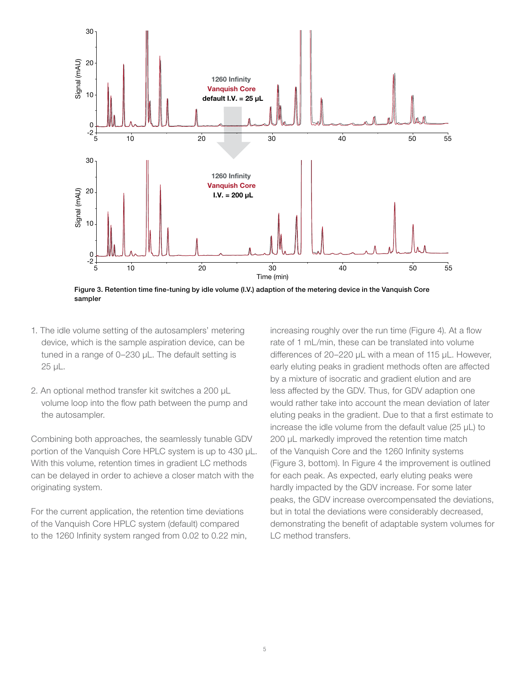

Figure 3. Retention time fine-tuning by idle volume (I.V.) adaption of the metering device in the Vanquish Core sampler

- 1. The idle volume setting of the autosamplers' metering device, which is the sample aspiration device, can be tuned in a range of 0–230 µL. The default setting is 25 µL.
- 2. An optional method transfer kit switches a 200 µL volume loop into the flow path between the pump and the autosampler.

Combining both approaches, the seamlessly tunable GDV portion of the Vanquish Core HPLC system is up to 430 µL. With this volume, retention times in gradient LC methods can be delayed in order to achieve a closer match with the originating system.

For the current application, the retention time deviations of the Vanquish Core HPLC system (default) compared to the 1260 Infinity system ranged from 0.02 to 0.22 min, increasing roughly over the run time (Figure 4). At a flow rate of 1 mL/min, these can be translated into volume differences of 20–220 µL with a mean of 115 µL. However, early eluting peaks in gradient methods often are affected by a mixture of isocratic and gradient elution and are less affected by the GDV. Thus, for GDV adaption one would rather take into account the mean deviation of later eluting peaks in the gradient. Due to that a first estimate to increase the idle volume from the default value (25 µL) to 200 µL markedly improved the retention time match of the Vanquish Core and the 1260 Infinity systems (Figure 3, bottom). In Figure 4 the improvement is outlined for each peak. As expected, early eluting peaks were hardly impacted by the GDV increase. For some later peaks, the GDV increase overcompensated the deviations, but in total the deviations were considerably decreased, demonstrating the benefit of adaptable system volumes for LC method transfers.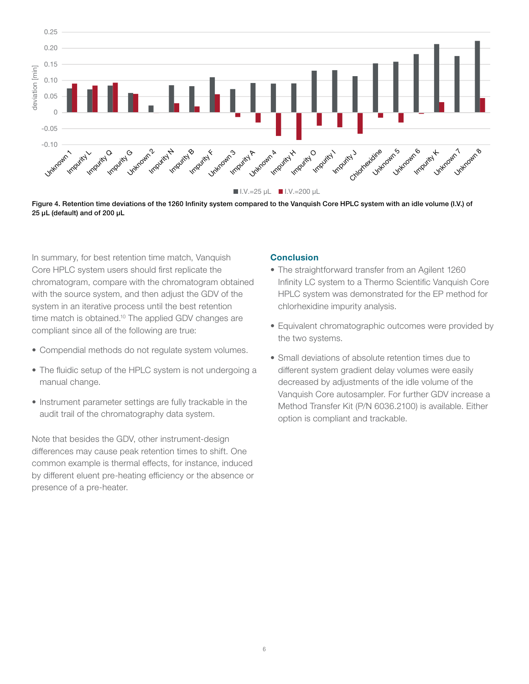

Figure 4. Retention time deviations of the 1260 Infinity system compared to the Vanquish Core HPLC system with an idle volume (I.V.) of 25 µL (default) and of 200 µL

In summary, for best retention time match, Vanquish Core HPLC system users should first replicate the chromatogram, compare with the chromatogram obtained with the source system, and then adjust the GDV of the system in an iterative process until the best retention time match is obtained.<sup>10</sup> The applied GDV changes are compliant since all of the following are true:

- Compendial methods do not regulate system volumes.
- The fluidic setup of the HPLC system is not undergoing a manual change.
- Instrument parameter settings are fully trackable in the audit trail of the chromatography data system.

Note that besides the GDV, other instrument-design differences may cause peak retention times to shift. One common example is thermal effects, for instance, induced by different eluent pre-heating efficiency or the absence or presence of a pre-heater.

#### **Conclusion**

- The straightforward transfer from an Agilent 1260 Infinity LC system to a Thermo Scientific Vanquish Core HPLC system was demonstrated for the EP method for chlorhexidine impurity analysis.
- Equivalent chromatographic outcomes were provided by the two systems.
- Small deviations of absolute retention times due to different system gradient delay volumes were easily decreased by adjustments of the idle volume of the Vanquish Core autosampler. For further GDV increase a Method Transfer Kit (P/N 6036.2100) is available. Either option is compliant and trackable.